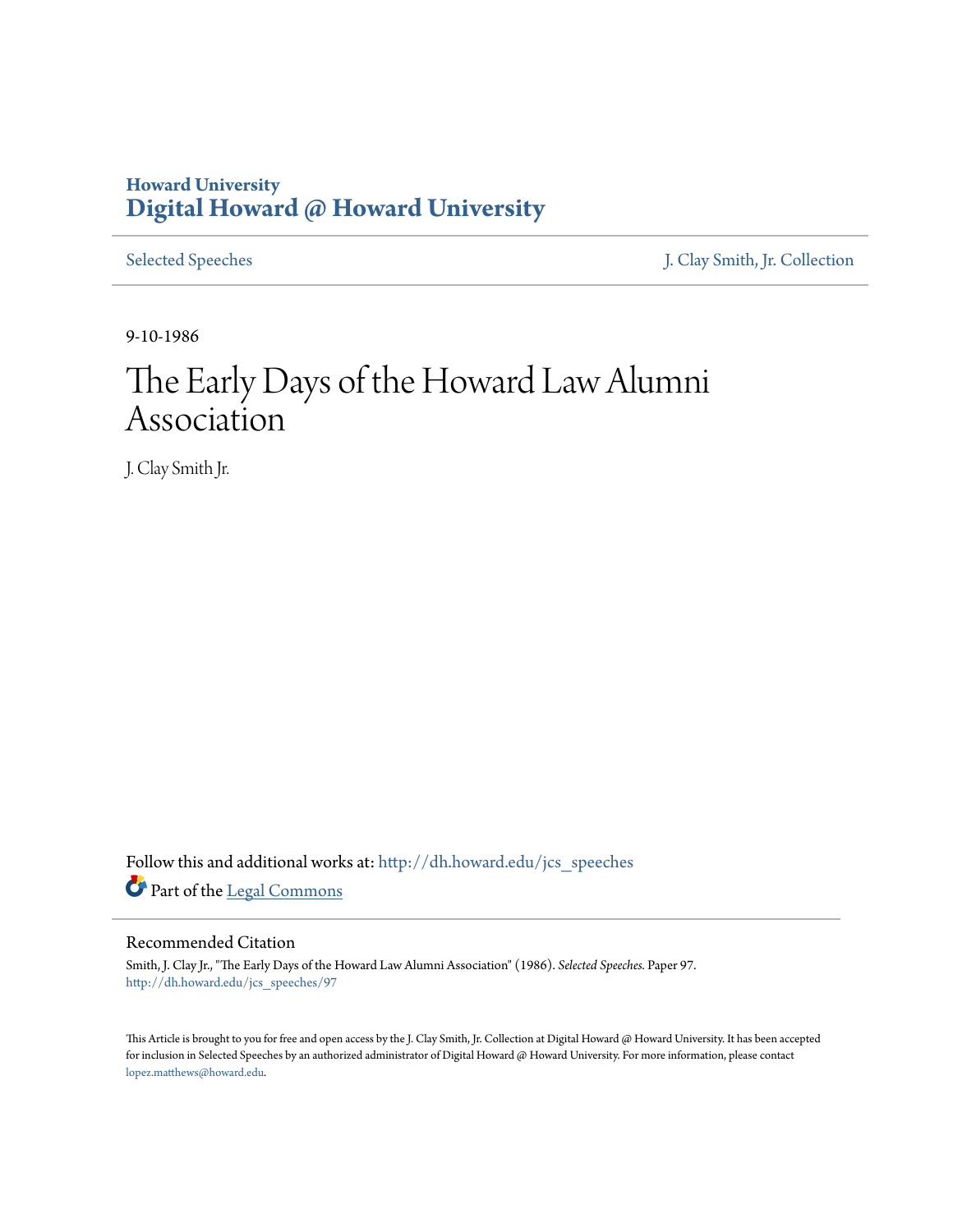# **Howard University [Digital Howard @ Howard University](http://dh.howard.edu?utm_source=dh.howard.edu%2Fjcs_speeches%2F97&utm_medium=PDF&utm_campaign=PDFCoverPages)**

[Selected Speeches](http://dh.howard.edu/jcs_speeches?utm_source=dh.howard.edu%2Fjcs_speeches%2F97&utm_medium=PDF&utm_campaign=PDFCoverPages) [J. Clay Smith, Jr. Collection](http://dh.howard.edu/jcsmith?utm_source=dh.howard.edu%2Fjcs_speeches%2F97&utm_medium=PDF&utm_campaign=PDFCoverPages)

9-10-1986

# The Early Days of the Howard Law Alumni Association

J. Clay Smith Jr.

Follow this and additional works at: [http://dh.howard.edu/jcs\\_speeches](http://dh.howard.edu/jcs_speeches?utm_source=dh.howard.edu%2Fjcs_speeches%2F97&utm_medium=PDF&utm_campaign=PDFCoverPages) Part of the [Legal Commons](http://network.bepress.com/hgg/discipline/502?utm_source=dh.howard.edu%2Fjcs_speeches%2F97&utm_medium=PDF&utm_campaign=PDFCoverPages)

## Recommended Citation

Smith, J. Clay Jr., "The Early Days of the Howard Law Alumni Association" (1986). *Selected Speeches.* Paper 97. [http://dh.howard.edu/jcs\\_speeches/97](http://dh.howard.edu/jcs_speeches/97?utm_source=dh.howard.edu%2Fjcs_speeches%2F97&utm_medium=PDF&utm_campaign=PDFCoverPages)

This Article is brought to you for free and open access by the J. Clay Smith, Jr. Collection at Digital Howard @ Howard University. It has been accepted for inclusion in Selected Speeches by an authorized administrator of Digital Howard @ Howard University. For more information, please contact [lopez.matthews@howard.edu.](mailto:lopez.matthews@howard.edu)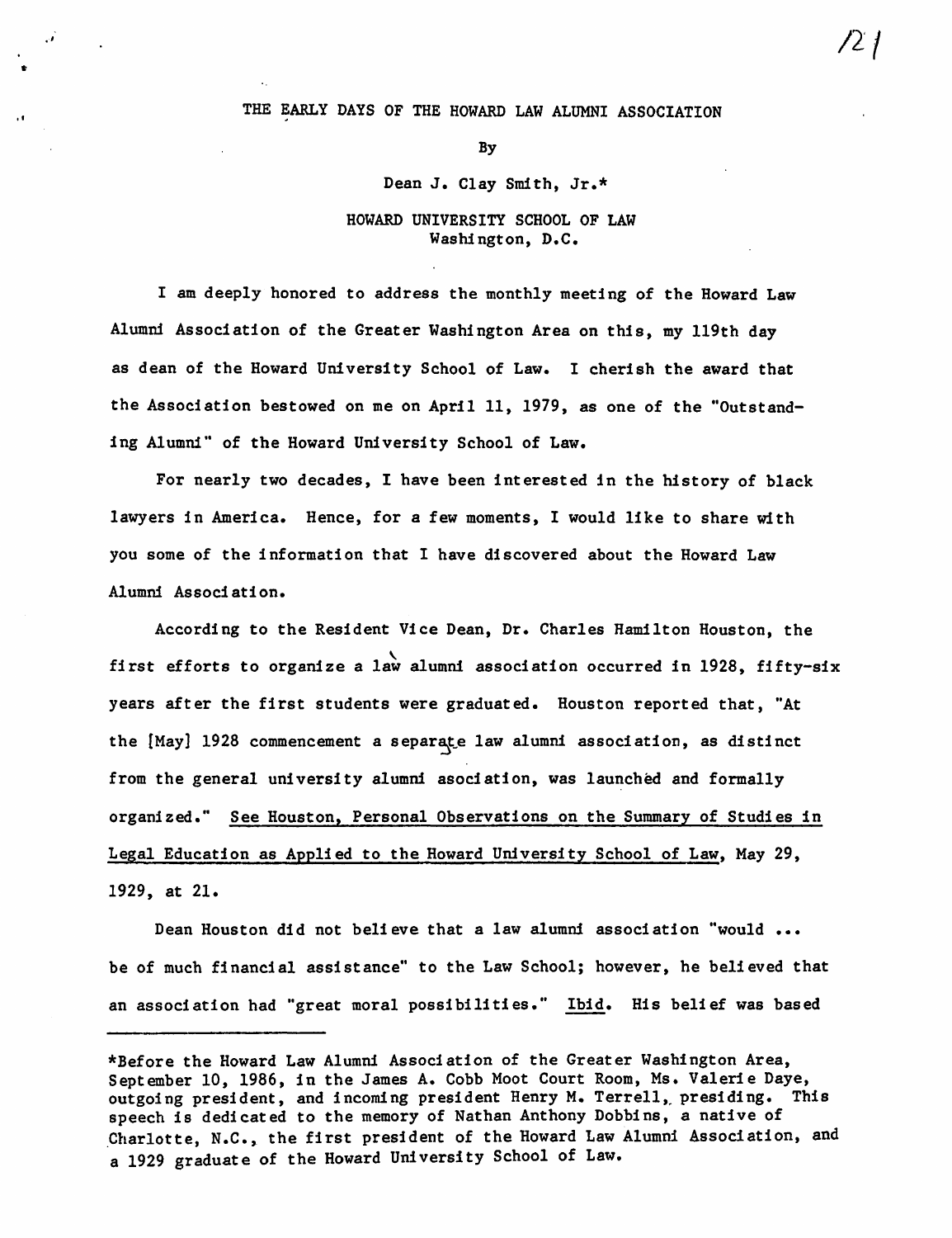#### THE EARLY DAYS OF THE HOWARD LAW ALUMNI ASSOCIATION

/21

II

#### By

# Dean J. Clay Smith, Jr.\*

## HOWARD UNIVERSITY SCHOOL OF LAW Washington, D.C.

I am deeply honored to address the monthly meeting of the Howard Law Alumni Association of the Greater Washington Area on this, my l19th day as dean of the Howard University School of Law. I cherish the award that the Association bestowed on me on April 11, 1979, as one of the "Outstanding Alumni" of the Howard University School of Law.

For nearly two decades, I have been interested in the history of black lawyers in America. Hence, for a few moments, I would like to share with you some of the information that I have discovered about the Howard Law Alumni Associ ati on.

According to the Resident Vice Dean, Dr. Charles Hamilton Houston, the first efforts to organize a law alumni association occurred in 1928, fifty-six years after the first students were graduated. Houston reported that, "At the [May] 1928 commencement a separate law alumni association, as distinct from the general university alumni asociation, was launched and formally organized." See Houston, Personal Observations on the Summary of Studies in Legal Education as Applied to the Howard Undversity School of Law, May 29, 1929, at 21.

Dean Houston did not believe that a law alumni association "would ... be of much financial assistance" to the Law School; however, he believed that an association had "great moral possibilities." Ibid. His belief was based

<sup>\*</sup>Before the Howard Law Alumni Association of the Greater Washington Area, September 10, 1986, in the James A. Cobb Moot Court Room, Ms. Valerie Daye, outgoing president, and incoming president Henry M. Terrell, presiding. This speech is dedicated to the memory of Nathan Anthony Dobbins, a native of .Charlotte, N.C., the first president of the Howard Law Alumni Association, and a 1929 graduate of the Howard University School of Law.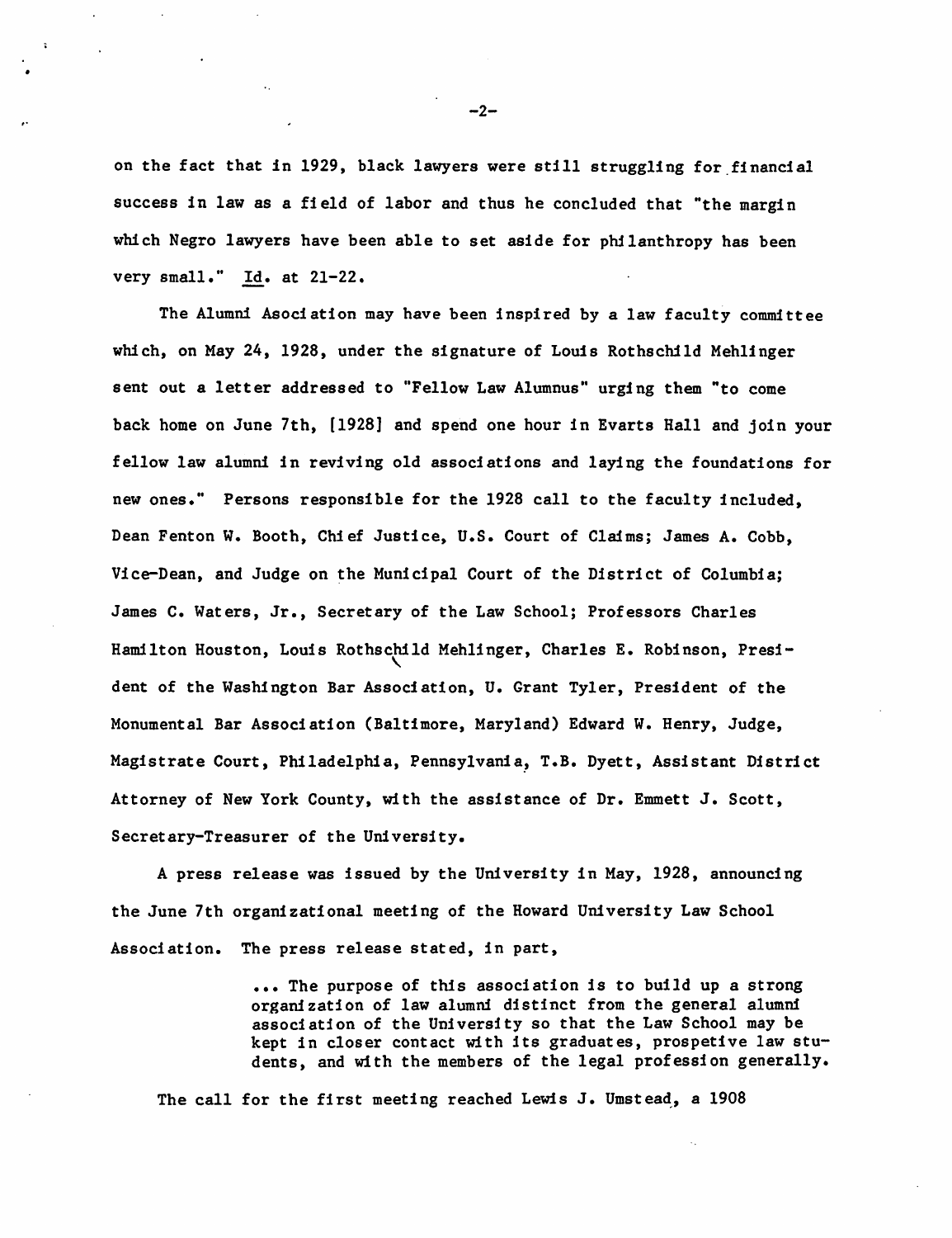on the fact that in 1929, black lawyers were still struggling for financial success in law as a field of labor and thus he concluded that "the margin which Negro lawyers have been able to set aside for philanthropy has been very small." Id. at 21-22.

The Alumni Asociation may have been inspired by a law faculty committee which, on May 24, 1928, under the signature of Louis Rothschild Mehlinger sent out a letter addressed to "Fellow Law Alumnus" urgi ng them "to come back home on June 7th, [1928] and spend one hour in Evarts Hall and join your fellow law alumni in reviving old associations and laying the foundations for new ones." Persons responsible for the 1928 call to the faculty included, Dean Fenton W. Booth, Chief Justice, U.S. Court of Claims; James A. Cobb, Vice-Dean, and Judge on the Municipal Court of the District of Columbia; James C. Waters, Jr., Secretary of the Law School; Professors Charles Hamilton Houston, Louis Rothschild Mehlinger, Charles E. Robinson, President of the Washington Bar Association, U. Grant Tyler, President of the Monumental Bar Association (Baltimore, Maryland) Edward W. Henry, Judge, Magistrate Court, Philadelphia, Pennsylvania, T.B. Dyett, Assistant District Attorney of New York County, with the assistance of Dr. Emmett J. Scott, Secretary-Treasurer of the University.

A press release was issued by the University in May, 1928, announcing the June 7th organizational meeting of the Howard University Law School Association. The press release stated, in part,

> ••• The purpose of this association is to build up a strong organization of law alumni distinct from the general alumni association of the University so that the Law School may be kept in closer contact with its graduates, prospetive law students, and with the members of the legal profession generally.

The call for the first meeting reached Lewis J. Umstead, a 1908

-2-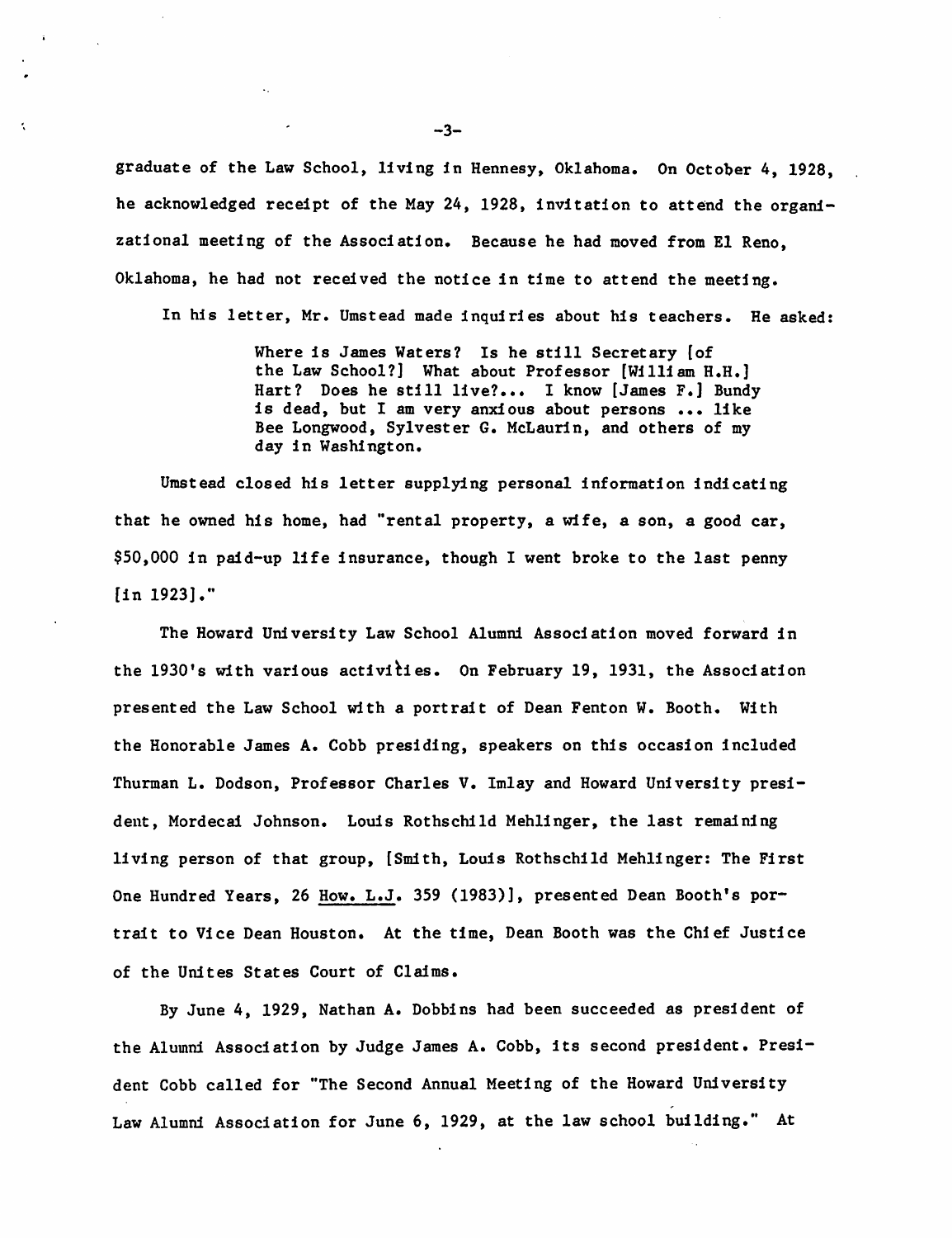graduate of the Law School, living in Hennesy, Oklahoma. On October 4, 1928, he acknowledged receipt of the May 24, 1928, invitation to attend the organizational meeting of the Association. Because he had moved from El Reno, Oklahoma, he had not received the notice in time to attend the meeting.

In his letter, Mr. Umstead made inquiries about his teachers. He asked:

Where is James Waters? Is he still Secretary [of the Law School?] What about Professor [William H.H.] Hart? Does he still live?.. I know [James F.] Bundy is dead, but I am very anxious about persons ••• like Bee Longwood, Sylvester G. McLaurin, and others of my day in Washington.

Umstead closed his letter supplying personal information indicating that he owned his home, had "rental property, a wife, a son, a good car, \$50,000 in paid-up life insurance, though I went broke to the last penny [in 1923]."

The Howard University Law School Alumni Association moved forward in the 1930's with various activities. On February 19, 1931, the Association presented the Law School with a portrait of Dean Fenton W. Booth. With the Honorable James A. Cobb presiding, speakers on this occasion included Thurman L. Dodson, Professor Charles V. Imlay and Howard University president, Mordecai Johnson. Louis Rothschild Meh1inger, the last remaining living person of that group, [Smith, Louis Rothschild Meh1inger: The First One Hundred Years, 26 How. L.J. 359 (1983)], presented Dean Booth's portrait to Vice Dean Houston. At the time, Dean Booth was the Chief Justice of the Unites States Court of Claims.

By June 4, 1929, Nathan A. Dobbins had been succeeded as president of the Alumni Association by Judge James A. Cobb, its second president. President Cobb called for "The Second Annual Meeting of the Howard University , Law Alumni Association for June 6, 1929, at the law school building." At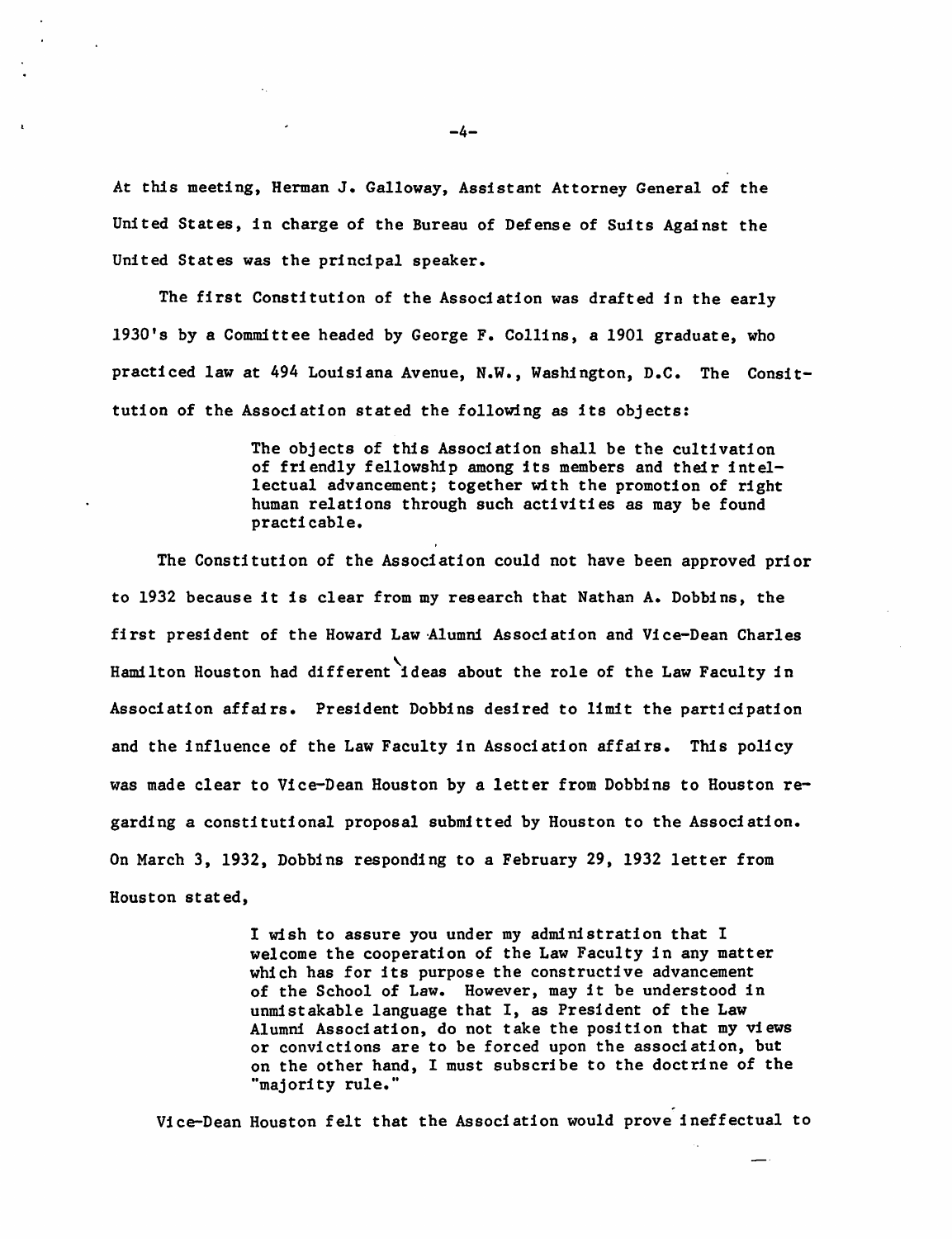At this meeting, Herman J. Galloway, Assistant Attorney General of the United States, in charge of the Bureau of Defense of Suits Against the United States was the principal speaker.

The first Constitution of the Association was drafted in the early 1930's by a Commdttee headed by George F. Collins, a 1901 graduate, who practiced law at 494 Louisiana Avenue, N.W., Washington, D.C. The Consittution of the Association stated the following as its objects:

> The objects of this Association shall be the cultivation of friendly fellowship among its members and their intellectual advancement; together with the promotion of right human relations through such activities as may be found pr acti cabl e.

The Constitution of the Association could not have been approved prior to 1932 because it is clear from my research that Nathan A. Dobbins, the first president of the Howard Law Alumni Association and Vice-Dean Charles Hamilton Houston had different ideas about the role of the Law Faculty in Association affairs. President Dobbins desired to limit the participation and the influence of the Law Faculty in Association affairs. This policy was made clear to Vice-Dean Houston by a letter from Dobbins to Houston regarding a constitutional proposal submitted by Houston to the Association. On March 3, 1932, Dobbins responding to a February 29, 1932 letter from Houston stated,

> I wish to assure you under my administration that I welcome the cooperation of the Law Faculty in any matter which has for its purpose the constructive advancement of the School of Law. However, may it be understood in unmistakable language that I, as President of the Law Alumni Association, do not take the position that my views or convictions are to be forced upon the association, but on the other hand, I must subscribe to the doctrine of the "majori ty rule."

. Vice-Dean Houston felt that the Association would prove ineffectual to

-4-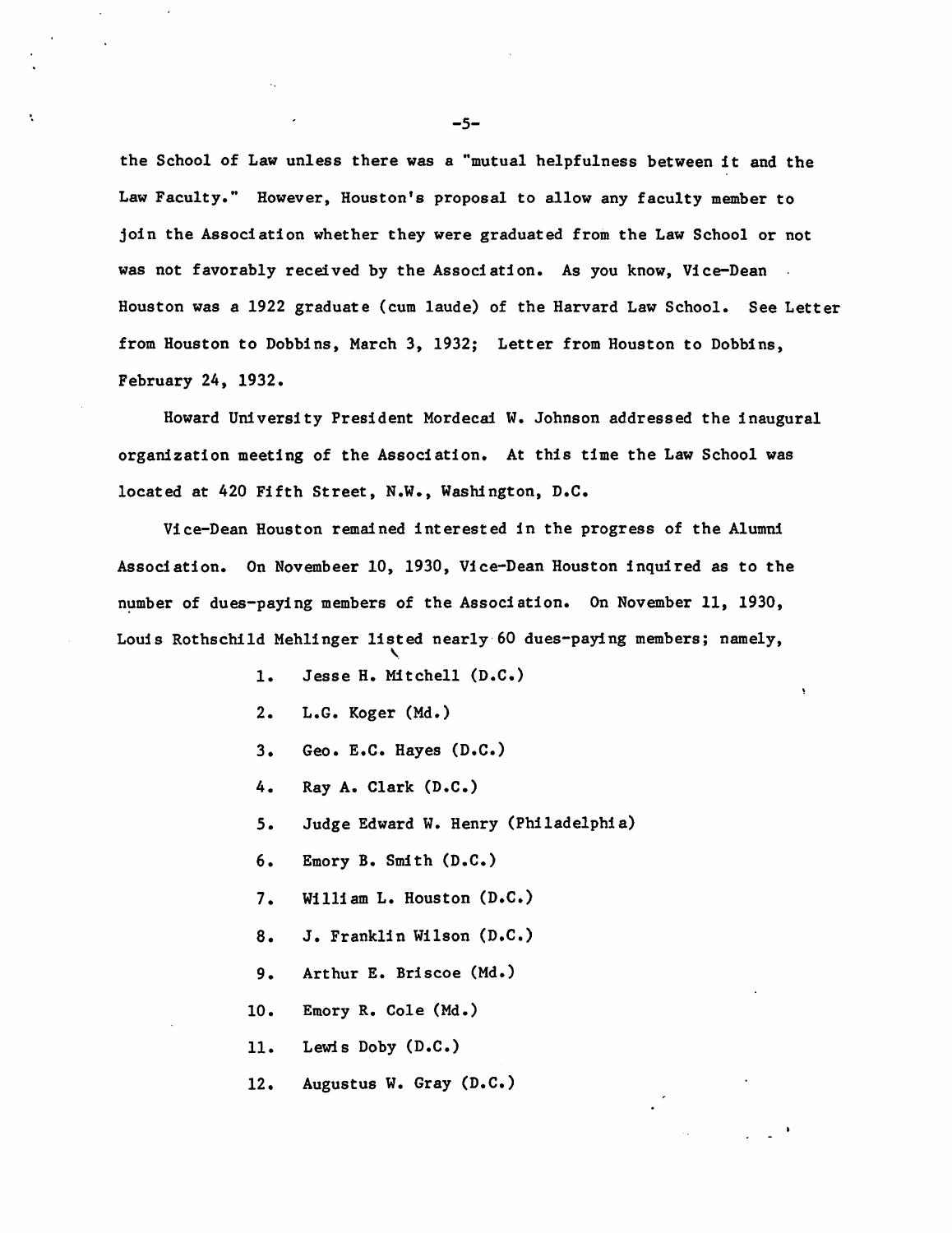the School of Law unless there was a "mutual helpfulness between it and the Law Faculty." However, Houston's proposal to allow any faculty member to join the Association whether they were graduated from the Law School or not was not favorably received by the Association. As you know, Vice-Dean Houston was a 1922 graduate (cum laude) of the Harvard Law School. See Letter from Houston to Dobbins, March 3, 1932; Letter from Houston to Dobbins, February 24, 1932.

Howard University President Mordecai W. Johnson addressed the inaugural organization meeting of the Association. At this time the Law School was located at 420 Fifth Street, N.W., Washington, D.C.

Vice-Dean Houston remained interested in the progress of the Alumni Association. On Novembeer 10, 1930, Vice-Dean Houston inquired as to the number of dues-paying members of the Association. On November 11, 1930, Louis Rothschild Mehlinger listed nearly' 60 dues-paying members; namely,  $\mathbf{v}_i$ 

- 1. Jesse H. Mitchell (D.C.)
- 2. L.G. Koger (Md.)
- 3. Geo. E.C. Hayes (D.C.)
- 4. Ray A. Clark (D.C.)
- 5. Judge Edward W. Henry (Philadelphia)
- 6. Emory B. Smith (D.C.)
- 7. William L. Houston (D.C.)
- 8. J. Franklin Wilson (D.C.)
- 9. Arthur E. Briscoe (Md.)
- 10. Emory R. Cole (Md.)
- 11. Lewis Doby (D.C.)
- 12. Augustus W. Gray (D.C.)

-5-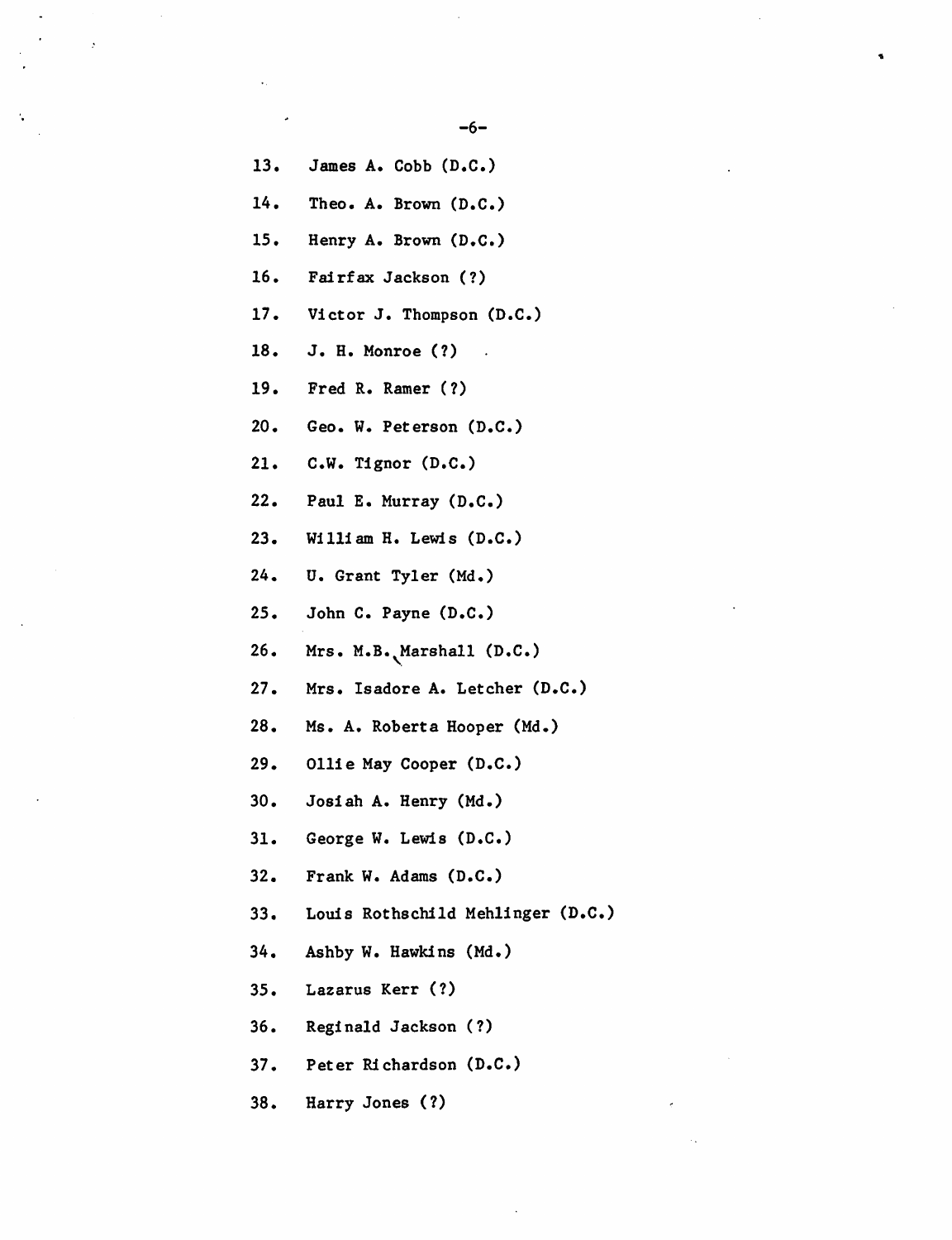-6-

13. James A. Cobb (D.C.) 14. Theo. A. Brown (D.C.) 15. Henry A. Brown (D.C.) 16. Fairfax Jackson (?) 17. Victor J. Thompson (D.C.) 18. J. H. Monroe (1) 19. Fred R. Ramer (1) 20. Geo. W. Peterson (D.C.) 21. C.W. Tignor (D.C.) 22. Paul E. Murray (D.C.) 23. William H. Lewis (D.C.) 24. U. Grant Tyler (Md.) 25. John C. Payne (D.C.) 26. Mrs. M.B. Marshall (D.C.) 27. Mrs. Isadore A. Letcher (D.C.) 28. Ms. A. Roberta Hooper (Md.) 29. Ollie May Cooper (D.C.) 30. Josiah A. Henry (Md.) 31. George W. Lewis (D.C.) 32. Frank W. Adams (D.C.) 33. Louis Rothschild Mehlinger (D.C.) 34. Ashby W. Hawkins (Md.) 35. Lazarus Kerr (1) 36. Reginald Jackson (1) 37. Peter Richardson (D.C.) 38. Harry Jones (1)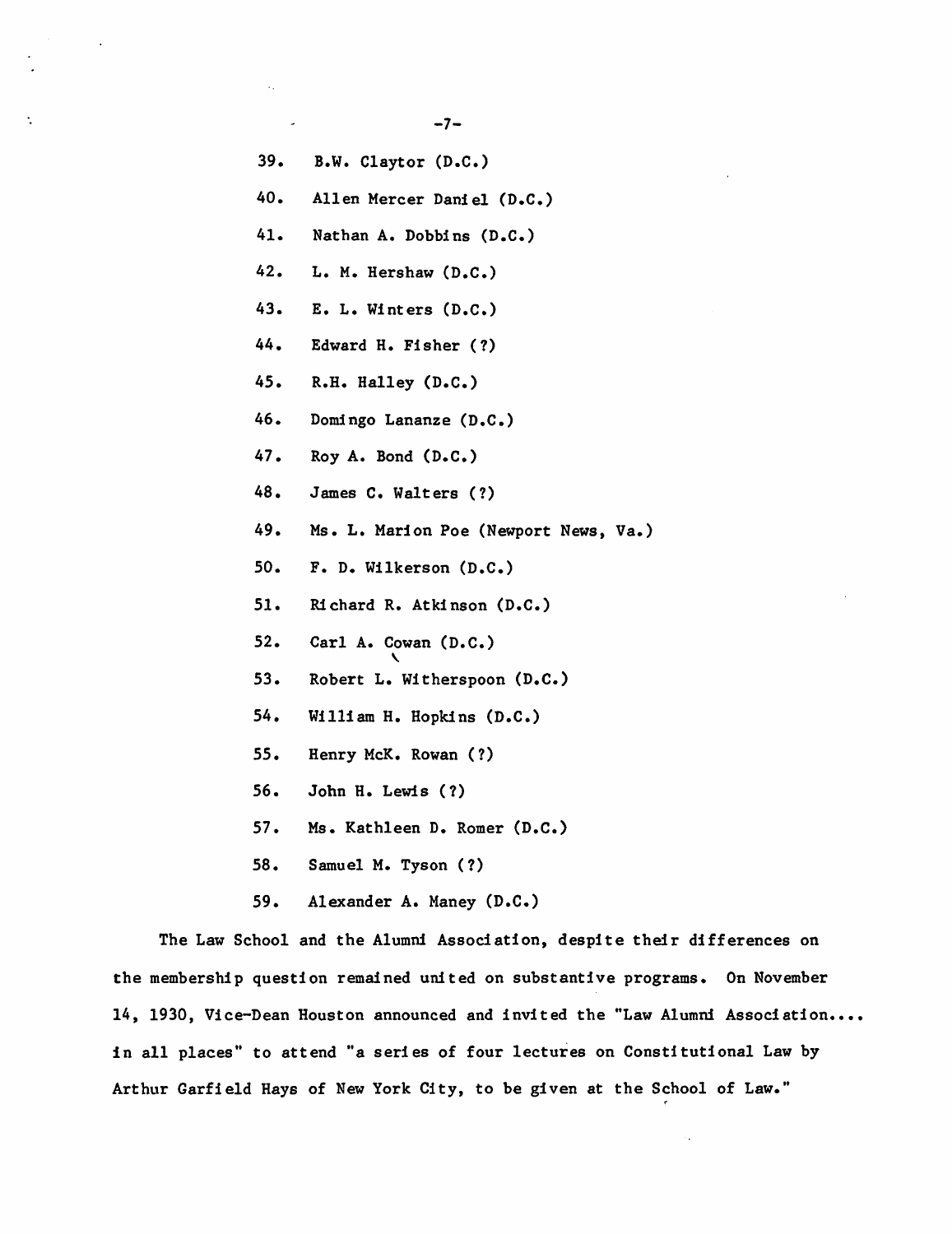- 39. B.W. Claytor (D.C.)
- 40. Allen Mercer Daniel (D.C.)
- 41. Nathan A. Dobbins (D.C.)
- 42. L. M. Hershaw (D.C.)
- 43. E. L. Winters (D.C.)
- 44. Edward H. Fisher (?)
- 45. R.H. Halley (D.C.)
- 46. Domdngo Lananze (D.C.)
- 47. Roy A. Bond (D.C.)
- 48. James C. Walters (?)
- 49. Ms. L. Marion Poe (Newport News, Va.)
- 50. F. D. Wilkerson (D.C.)
- 51. Richard R. Atkinson (D.C.)
- 52. Carl A. Cowan  $(D.C.)$
- 53. Robert L. Witherspoon (D.C.)
- 54. William H. Hopkins (D.C.)
- 55. Henry McK. Rowan (1)
- 56. John H. Lewis (1)
- 57. Ms. Kathleen D. Romer (D.C.)
- 58. Samuel M. Tyson (1)
- 59. Alexander A. Maney (D.C.)

The Law School and the Alumni Association, despite their differences on the membership question remained united on substantive programs. On November 14, 1930, Vice-Dean Houston announced and invited the "Law Alumni Association.... in all places" to attend "a series of four lectures on Constitutional Law by Arthur Garfield Hays of New York City, to be given at the School of Law."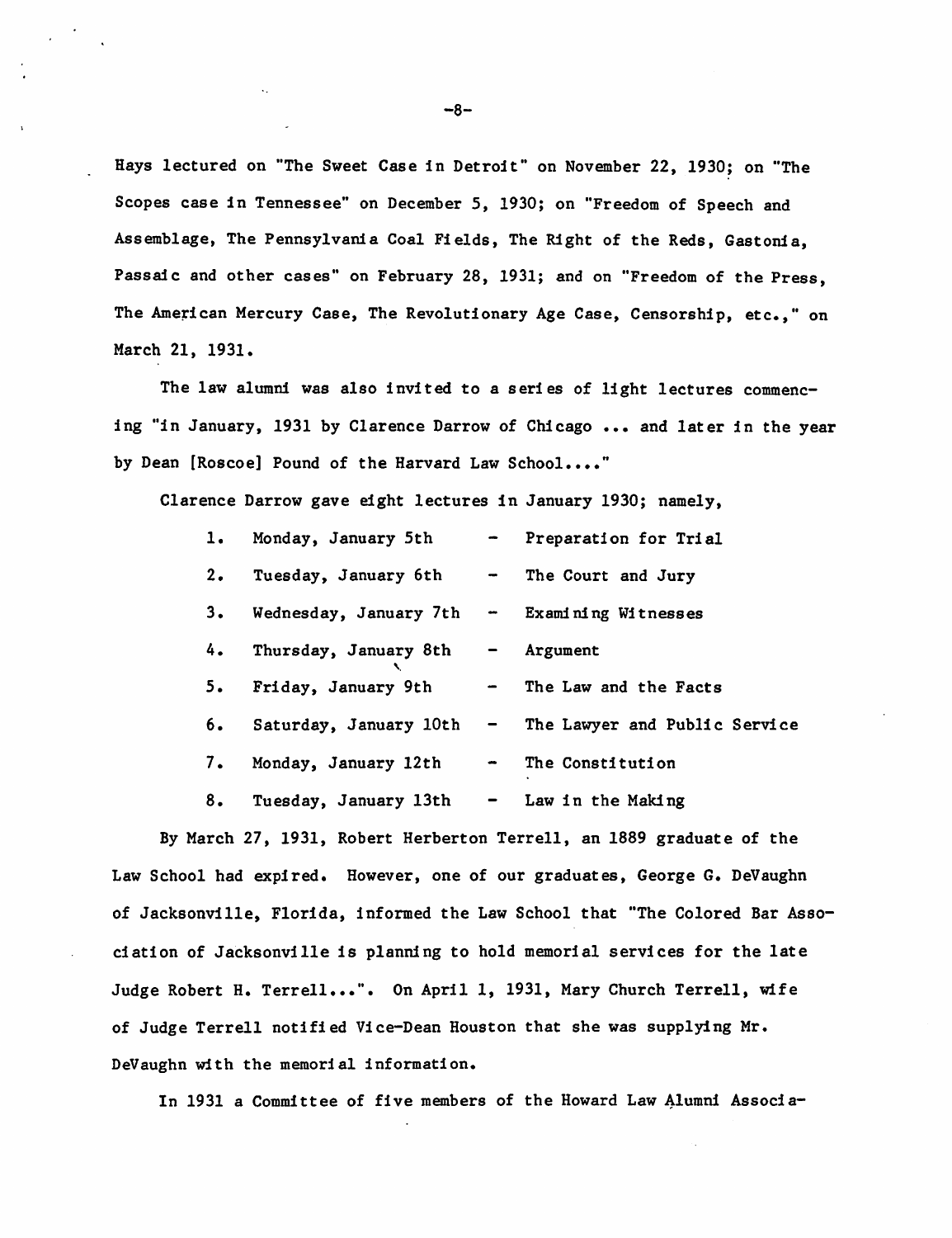Hays lectured on "The Sweet Case in Detroit" on November 22, 1930; on "The Scopes case in Tennessee" on December 5, 1930; on "Freedom of Speech and Assemblage, The Pennsylvania Coal Fields, The Right of the Reds, Gastonia, Passaic and other cases" on February 28, 1931; and on "Freedom of the Press, The American Mercury Case, The Revolutionary Age Case, Censorship, etc.," on March 21, 1931.

The law alumni was also invited to a series of light lectures commencing "in January, 1931 by Clarence Darrow of Chicago ... and later in the year by Dean [Roscoe] Pound of the Harvard Law School...."

Clarence Darrow gave eight lectures in January 1930; namely,

- 1. Monday, January 5th Preparation for Trial
- 2. Tuesday, January 6th The Court and Jury
- 3. Wednesday, January 7th Examining Witnesses
- 4. Thursday, January 8th Argument

 $\lambda$ 

- 5. Friday, January 9th The Law and the Facts
- 6. Saturday, January 10th The Lawyer and Public Service
- 7. Monday, January 12th  $\sim$  The Constitution
- 8. Tuesday, January 13th  $-$  Law in the Making

By March 27, 1931, Robert Herberton Terrell, an 1889 graduate of the Law School had expired. However, one of our graduates, George G. DeVaughn of Jacksonville, Florida, informed the Law School that "The Colored Bar Association of Jacksonville is planning to hold memorial services for the late Judge Robert H. Terrell...". On April 1, 1931, Mary Church Terrell, wife of Judge Terrell notified Vice-Dean Houston that she was supplying Mr. DeVaughn w1th the memorial information.

In 1931 a Committee of five members of the Howard Law Alumni Associa-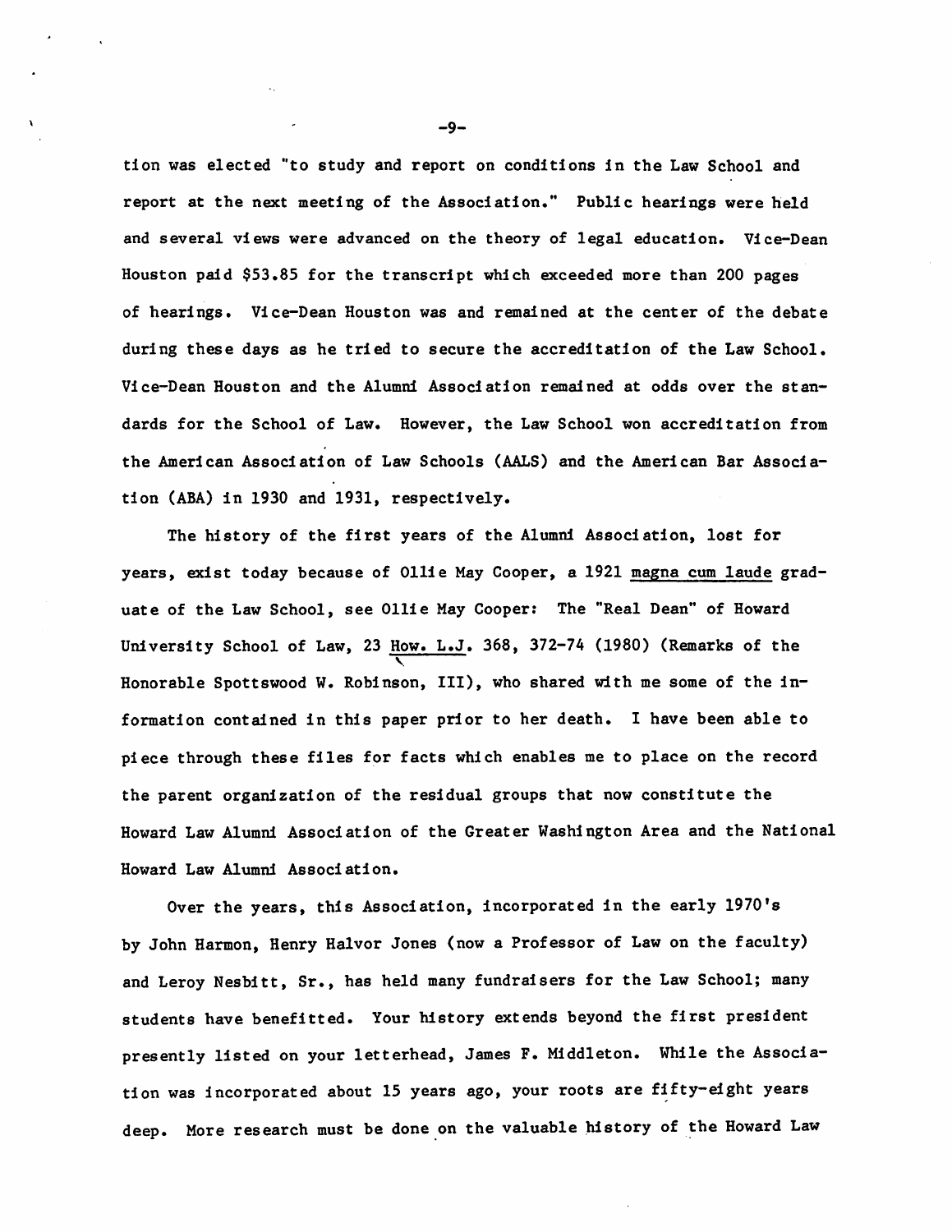tion was elected "to study and report on conditions in the Law School and report at the next meeting of the Association." Public hearings were held and several views were advanced on the theory of legal education. Vice-Dean Houston paid \$53.85 for the transcript which exceeded more than 200 pages of hearings. Vice-Dean Houston was and remained at the center of the debate during these days as he tried to secure the accreditation of the Law School. Vice-Dean Houston and the Alumni Association remained at odds over the standards for the School of Law. However, the Law School won accreditation from the American Association of Law Schools (AALS) and the American Bar Association (ABA) in 1930 and 1931, respectively.

The history of the first years of the Alumni Association, lost for years, exist today because of Ollie May Cooper, a 1921 magna cum laude graduate of the Law School, see Ollie May Cooper: The "Real Dean" of Howard University School of Law, 23  $\frac{How. L.J. 368, 372-74 (1980)$  (Remarks of the Honorable Spottswood W. Robinson, III), who shared with me some of the information contained in this paper prior to her death. I have been able to piece through these files for facts which enables me to place on the record the parent organization of the residual groups that now constitute the Howard Law Alumni Association of the Greater Washington Area and the National Howard Law Alumni Association.

Over the years, this Association, incorporated in the early 1970's by John Harmon, Henry Ha1vor Jones (now a Professor of Law on the faculty) and Leroy Nesbitt, Sr., has held many fundraisers for the Law School; many students have benefitted. Your history extends beyond the first president presently listed on your letterhead, James F. Middleton. While the Association was incorporated about 15 years ago, your roots are fifty-eight years deep. More research must be done on the valuable history of the Howard Law

-9-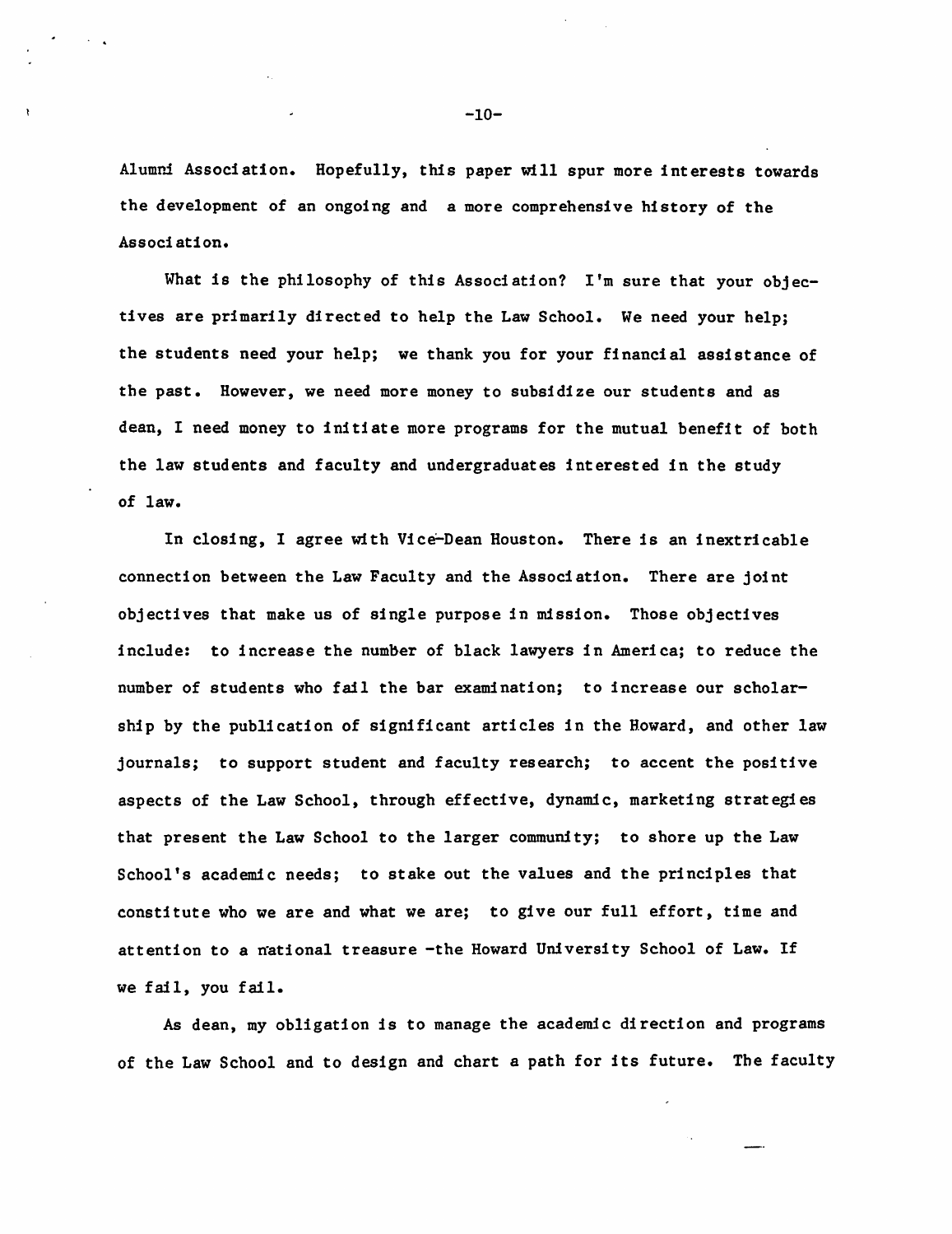Alumni Association. Hopefully, this paper will spur more interests towards the development of an ongoing and a more comprehensive history of the Associ ation.

What is the philosophy of this Association? I'm sure that your objectives are primarily directed to help the Law School. We need your help; the students need your help; we thank you for your financial assistance of the past. However, we need more money to subsidize our students and as dean, I need money to initiate more programs for the mutual benefit of both the law students and faculty and undergraduates interested in the study of law.

In closing, I agree with Vice-Dean Houston. There is an inextricable connection between the Law Faculty and the Association. There are joint objectives that make us of single purpose in mission. Those objectives include: to increase the number of black lawyers in America; to reduce the number of students who fail the bar examination; to increase our scholarship by the publication of significant articles in the Howard, and other law journals; to support student and faculty research; to accent the positive aspects of the Law School, through effective, dynamic, marketing strategies that present the Law School to the larger community; to shore up the Law School's academic needs; to stake out the values and the principles that constitute who we are and what we are; to give our full effort, time and attention to a mational treasure -the Howard University School of Law. If we fail, you fail.

As dean, my obligation is to manage the academic direction and programs of the Law School and to design and chart a path for its future. The faculty

-10-